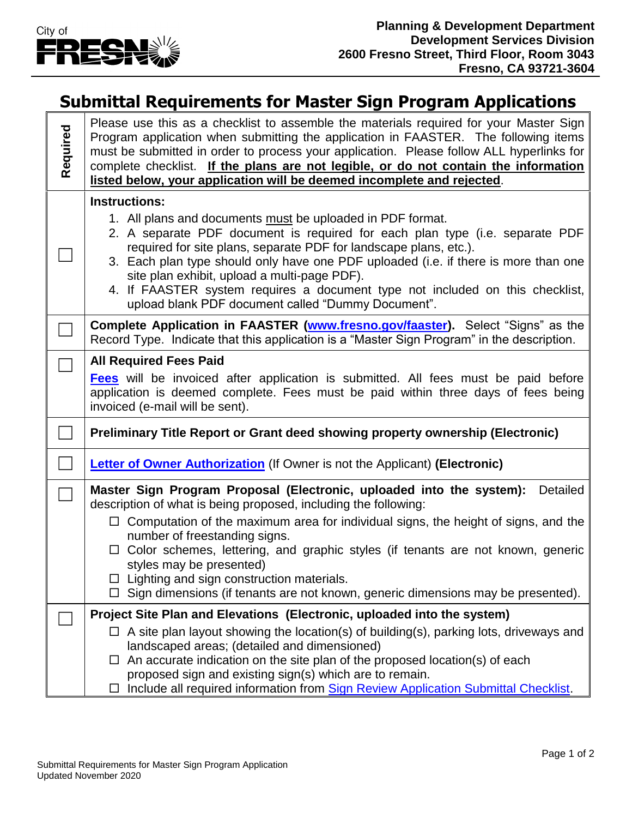

 $\mathbf{r}$ 

## **Submittal Requirements for Master Sign Program Applications**

| Required | Please use this as a checklist to assemble the materials required for your Master Sign<br>Program application when submitting the application in FAASTER. The following items<br>must be submitted in order to process your application. Please follow ALL hyperlinks for<br>complete checklist. If the plans are not legible, or do not contain the information<br>listed below, your application will be deemed incomplete and rejected.                                                    |
|----------|-----------------------------------------------------------------------------------------------------------------------------------------------------------------------------------------------------------------------------------------------------------------------------------------------------------------------------------------------------------------------------------------------------------------------------------------------------------------------------------------------|
|          | <b>Instructions:</b>                                                                                                                                                                                                                                                                                                                                                                                                                                                                          |
|          | 1. All plans and documents must be uploaded in PDF format.<br>2. A separate PDF document is required for each plan type (i.e. separate PDF<br>required for site plans, separate PDF for landscape plans, etc.).<br>3. Each plan type should only have one PDF uploaded (i.e. if there is more than one<br>site plan exhibit, upload a multi-page PDF).<br>4. If FAASTER system requires a document type not included on this checklist,<br>upload blank PDF document called "Dummy Document". |
|          | <b>Complete Application in FAASTER (www.fresno.gov/faaster).</b> Select "Signs" as the<br>Record Type. Indicate that this application is a "Master Sign Program" in the description.                                                                                                                                                                                                                                                                                                          |
|          | <b>All Required Fees Paid</b>                                                                                                                                                                                                                                                                                                                                                                                                                                                                 |
|          | <b>Fees</b> will be invoiced after application is submitted. All fees must be paid before<br>application is deemed complete. Fees must be paid within three days of fees being<br>invoiced (e-mail will be sent).                                                                                                                                                                                                                                                                             |
|          | Preliminary Title Report or Grant deed showing property ownership (Electronic)                                                                                                                                                                                                                                                                                                                                                                                                                |
|          | <b>Letter of Owner Authorization</b> (If Owner is not the Applicant) (Electronic)                                                                                                                                                                                                                                                                                                                                                                                                             |
|          | Master Sign Program Proposal (Electronic, uploaded into the system):<br><b>Detailed</b><br>description of what is being proposed, including the following:                                                                                                                                                                                                                                                                                                                                    |
|          | $\Box$ Computation of the maximum area for individual signs, the height of signs, and the<br>number of freestanding signs.<br>$\Box$ Color schemes, lettering, and graphic styles (if tenants are not known, generic<br>styles may be presented)<br>$\Box$ Lighting and sign construction materials.<br>$\Box$ Sign dimensions (if tenants are not known, generic dimensions may be presented).                                                                                               |
|          | Project Site Plan and Elevations (Electronic, uploaded into the system)                                                                                                                                                                                                                                                                                                                                                                                                                       |
|          | $\Box$ A site plan layout showing the location(s) of building(s), parking lots, driveways and<br>landscaped areas; (detailed and dimensioned)<br>$\Box$ An accurate indication on the site plan of the proposed location(s) of each<br>proposed sign and existing sign(s) which are to remain.                                                                                                                                                                                                |